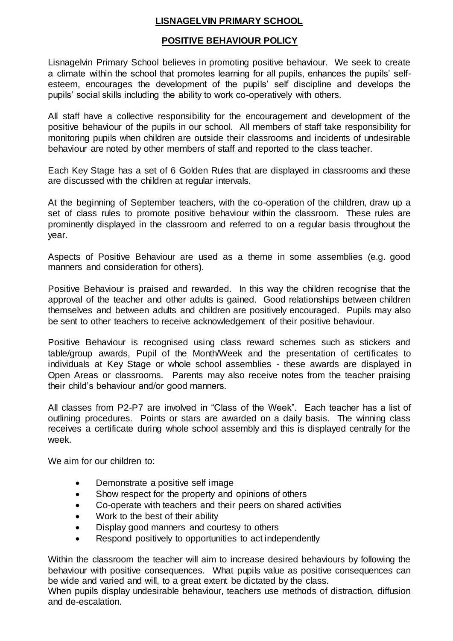# **LISNAGELVIN PRIMARY SCHOOL**

## **POSITIVE BEHAVIOUR POLICY**

Lisnagelvin Primary School believes in promoting positive behaviour. We seek to create a climate within the school that promotes learning for all pupils, enhances the pupils' selfesteem, encourages the development of the pupils' self discipline and develops the pupils' social skills including the ability to work co-operatively with others.

All staff have a collective responsibility for the encouragement and development of the positive behaviour of the pupils in our school. All members of staff take responsibility for monitoring pupils when children are outside their classrooms and incidents of undesirable behaviour are noted by other members of staff and reported to the class teacher.

Each Key Stage has a set of 6 Golden Rules that are displayed in classrooms and these are discussed with the children at regular intervals.

At the beginning of September teachers, with the co-operation of the children, draw up a set of class rules to promote positive behaviour within the classroom. These rules are prominently displayed in the classroom and referred to on a regular basis throughout the year.

Aspects of Positive Behaviour are used as a theme in some assemblies (e.g. good manners and consideration for others).

Positive Behaviour is praised and rewarded. In this way the children recognise that the approval of the teacher and other adults is gained. Good relationships between children themselves and between adults and children are positively encouraged. Pupils may also be sent to other teachers to receive acknowledgement of their positive behaviour.

Positive Behaviour is recognised using class reward schemes such as stickers and table/group awards, Pupil of the Month/Week and the presentation of certificates to individuals at Key Stage or whole school assemblies - these awards are displayed in Open Areas or classrooms. Parents may also receive notes from the teacher praising their child's behaviour and/or good manners.

All classes from P2-P7 are involved in "Class of the Week". Each teacher has a list of outlining procedures. Points or stars are awarded on a daily basis. The winning class receives a certificate during whole school assembly and this is displayed centrally for the week.

We aim for our children to:

- Demonstrate a positive self image
- Show respect for the property and opinions of others
- Co-operate with teachers and their peers on shared activities
- Work to the best of their ability
- Display good manners and courtesy to others
- Respond positively to opportunities to act independently

Within the classroom the teacher will aim to increase desired behaviours by following the behaviour with positive consequences. What pupils value as positive consequences can be wide and varied and will, to a great extent be dictated by the class.

When pupils display undesirable behaviour, teachers use methods of distraction, diffusion and de-escalation.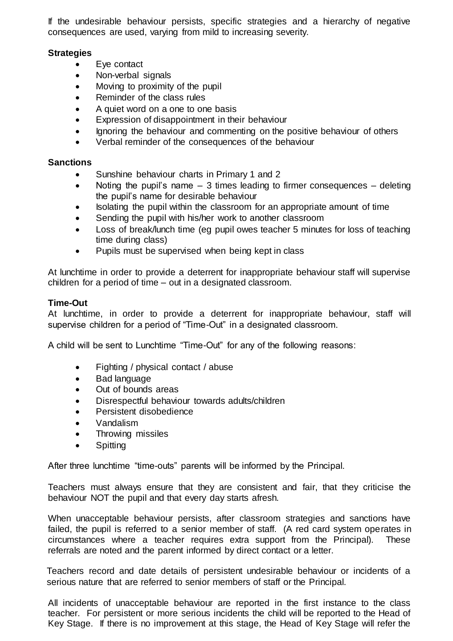If the undesirable behaviour persists, specific strategies and a hierarchy of negative consequences are used, varying from mild to increasing severity.

### **Strategies**

- Eve contact
- Non-verbal signals
- Moving to proximity of the pupil
- Reminder of the class rules
- A quiet word on a one to one basis
- Expression of disappointment in their behaviour
- Ignoring the behaviour and commenting on the positive behaviour of others
- Verbal reminder of the consequences of the behaviour

### **Sanctions**

- Sunshine behaviour charts in Primary 1 and 2
- Noting the pupil's name  $-3$  times leading to firmer consequences  $-$  deleting the pupil's name for desirable behaviour
- Isolating the pupil within the classroom for an appropriate amount of time
- Sending the pupil with his/her work to another classroom
- Loss of break/lunch time (eg pupil owes teacher 5 minutes for loss of teaching time during class)
- Pupils must be supervised when being kept in class

At lunchtime in order to provide a deterrent for inappropriate behaviour staff will supervise children for a period of time – out in a designated classroom.

## **Time-Out**

At lunchtime, in order to provide a deterrent for inappropriate behaviour, staff will supervise children for a period of "Time-Out" in a designated classroom.

A child will be sent to Lunchtime "Time-Out" for any of the following reasons:

- Fighting / physical contact / abuse
- Bad language
- Out of bounds areas
- Disrespectful behaviour towards adults/children
- Persistent disobedience
- Vandalism
- Throwing missiles
- Spitting

After three lunchtime "time-outs" parents will be informed by the Principal.

Teachers must always ensure that they are consistent and fair, that they criticise the behaviour NOT the pupil and that every day starts afresh.

When unacceptable behaviour persists, after classroom strategies and sanctions have failed, the pupil is referred to a senior member of staff. (A red card system operates in circumstances where a teacher requires extra support from the Principal). These referrals are noted and the parent informed by direct contact or a letter.

Teachers record and date details of persistent undesirable behaviour or incidents of a serious nature that are referred to senior members of staff or the Principal.

All incidents of unacceptable behaviour are reported in the first instance to the class teacher. For persistent or more serious incidents the child will be reported to the Head of Key Stage. If there is no improvement at this stage, the Head of Key Stage will refer the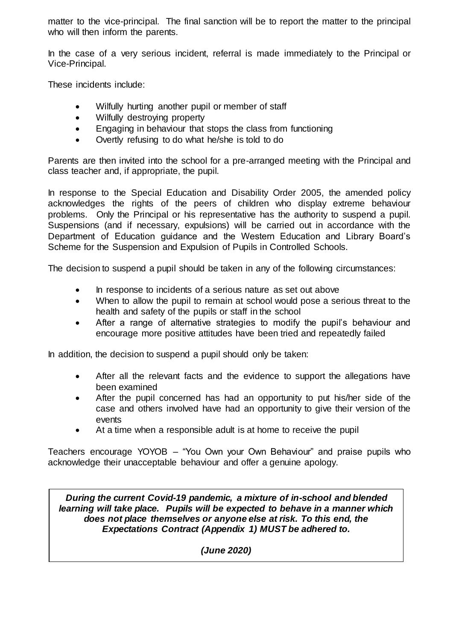matter to the vice-principal. The final sanction will be to report the matter to the principal who will then inform the parents.

In the case of a very serious incident, referral is made immediately to the Principal or Vice-Principal.

These incidents include:

- Wilfully hurting another pupil or member of staff
- Wilfully destroying property
- Engaging in behaviour that stops the class from functioning
- Overtly refusing to do what he/she is told to do

Parents are then invited into the school for a pre-arranged meeting with the Principal and class teacher and, if appropriate, the pupil.

In response to the Special Education and Disability Order 2005, the amended policy acknowledges the rights of the peers of children who display extreme behaviour problems. Only the Principal or his representative has the authority to suspend a pupil. Suspensions (and if necessary, expulsions) will be carried out in accordance with the Department of Education guidance and the Western Education and Library Board's Scheme for the Suspension and Expulsion of Pupils in Controlled Schools.

The decision to suspend a pupil should be taken in any of the following circumstances:

- In response to incidents of a serious nature as set out above
- When to allow the pupil to remain at school would pose a serious threat to the health and safety of the pupils or staff in the school
- After a range of alternative strategies to modify the pupil's behaviour and encourage more positive attitudes have been tried and repeatedly failed

In addition, the decision to suspend a pupil should only be taken:

- After all the relevant facts and the evidence to support the allegations have been examined
- After the pupil concerned has had an opportunity to put his/her side of the case and others involved have had an opportunity to give their version of the events
- At a time when a responsible adult is at home to receive the pupil

Teachers encourage YOYOB – "You Own your Own Behaviour" and praise pupils who acknowledge their unacceptable behaviour and offer a genuine apology.

*During the current Covid-19 pandemic, a mixture of in-school and blended learning will take place. Pupils will be expected to behave in a manner which does not place themselves or anyone else at risk. To this end, the Expectations Contract (Appendix 1) MUST be adhered to.* 

*(June 2020)*